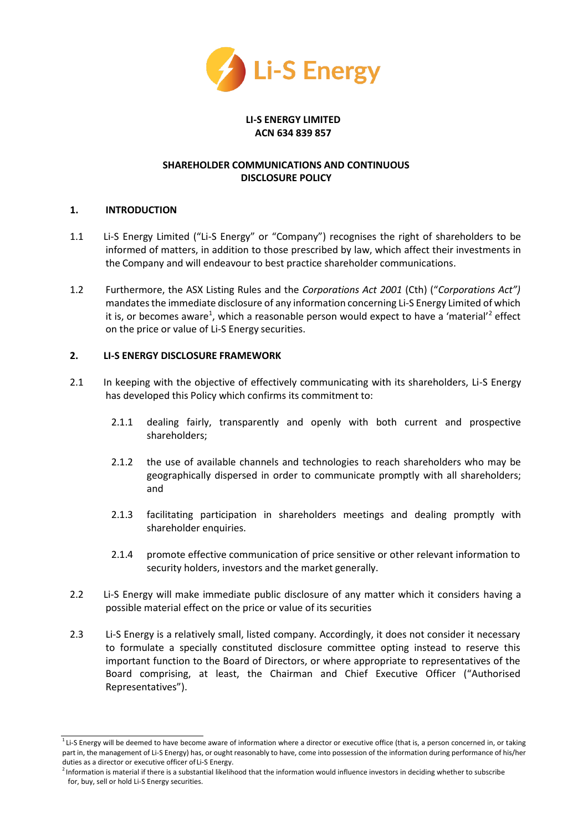

#### **LI-S ENERGY LIMITED ACN 634 839 857**

# **SHAREHOLDER COMMUNICATIONS AND CONTINUOUS DISCLOSURE POLICY**

## **1. INTRODUCTION**

- 1.1 Li-S Energy Limited ("Li-S Energy" or "Company") recognises the right of shareholders to be informed of matters, in addition to those prescribed by law, which affect their investments in the Company and will endeavour to best practice shareholder communications.
- 1.2 Furthermore, the ASX Listing Rules and the *Corporations Act 2001* (Cth) ("*Corporations Act")*  mandates the immediate disclosure of any information concerning Li-S Energy Limited of which it is, or b[e](#page-0-0)comes aware<sup>1</sup>, which a reasonable person would expect to have a 'materia[l'](#page-0-1)<sup>2</sup> effect on the price or value of Li-S Energy securities.

## **2. LI-S ENERGY DISCLOSURE FRAMEWORK**

- 2.1 In keeping with the objective of effectively communicating with its shareholders, Li-S Energy has developed this Policy which confirms its commitment to:
	- 2.1.1 dealing fairly, transparently and openly with both current and prospective shareholders;
	- 2.1.2 the use of available channels and technologies to reach shareholders who may be geographically dispersed in order to communicate promptly with all shareholders; and
	- 2.1.3 facilitating participation in shareholders meetings and dealing promptly with shareholder enquiries.
	- 2.1.4 promote effective communication of price sensitive or other relevant information to security holders, investors and the market generally.
- 2.2 Li-S Energy will make immediate public disclosure of any matter which it considers having a possible material effect on the price or value of its securities
- 2.3 Li-S Energy is a relatively small, listed company. Accordingly, it does not consider it necessary to formulate a specially constituted disclosure committee opting instead to reserve this important function to the Board of Directors, or where appropriate to representatives of the Board comprising, at least, the Chairman and Chief Executive Officer ("Authorised Representatives").

<span id="page-0-0"></span> $1$  Li-S Energy will be deemed to have become aware of information where a director or executive office (that is, a person concerned in, or taking part in, the management of Li-S Energy) has, or ought reasonably to have, come into possession of the information during performance of his/her duties as a director or executive officer of Li-S Energy.

<span id="page-0-1"></span><sup>&</sup>lt;sup>2</sup> Information is material if there is a substantial likelihood that the information would influence investors in deciding whether to subscribe for, buy, sell or hold Li-S Energy securities.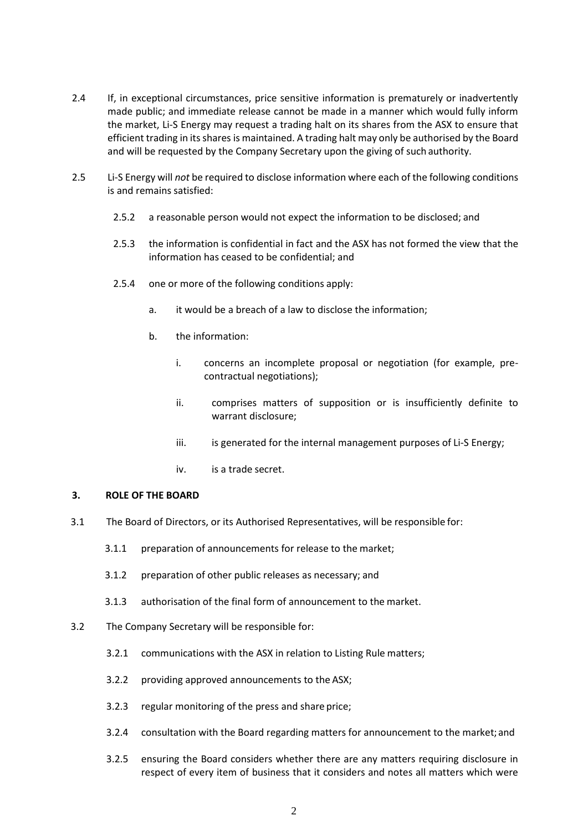- 2.4 If, in exceptional circumstances, price sensitive information is prematurely or inadvertently made public; and immediate release cannot be made in a manner which would fully inform the market, Li-S Energy may request a trading halt on its shares from the ASX to ensure that efficient trading in its shares is maintained. A trading halt may only be authorised by the Board and will be requested by the Company Secretary upon the giving of such authority.
- 2.5 Li-S Energy will *not* be required to disclose information where each of the following conditions is and remains satisfied:
	- 2.5.2 a reasonable person would not expect the information to be disclosed; and
	- 2.5.3 the information is confidential in fact and the ASX has not formed the view that the information has ceased to be confidential; and
	- 2.5.4 one or more of the following conditions apply:
		- a. it would be a breach of a law to disclose the information;
		- b. the information:
			- i. concerns an incomplete proposal or negotiation (for example, precontractual negotiations);
			- ii. comprises matters of supposition or is insufficiently definite to warrant disclosure;
			- iii. is generated for the internal management purposes of Li-S Energy;
			- iv. is a trade secret.

#### **3. ROLE OF THE BOARD**

- 3.1 The Board of Directors, or its Authorised Representatives, will be responsible for:
	- 3.1.1 preparation of announcements for release to the market;
	- 3.1.2 preparation of other public releases as necessary; and
	- 3.1.3 authorisation of the final form of announcement to the market.
- 3.2 The Company Secretary will be responsible for:
	- 3.2.1 communications with the ASX in relation to Listing Rule matters;
	- 3.2.2 providing approved announcements to the ASX;
	- 3.2.3 regular monitoring of the press and share price;
	- 3.2.4 consultation with the Board regarding matters for announcement to the market;and
	- 3.2.5 ensuring the Board considers whether there are any matters requiring disclosure in respect of every item of business that it considers and notes all matters which were